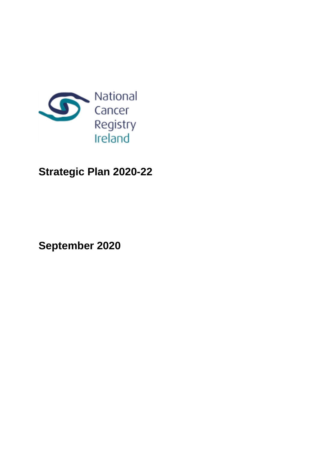

# **Strategic Plan 2020-22**

**September 2020**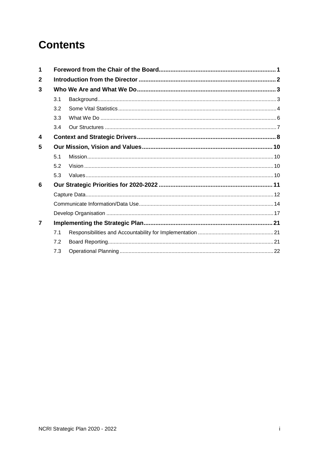# **Contents**

| 1              |     |  |  |
|----------------|-----|--|--|
| 2              |     |  |  |
| 3              |     |  |  |
|                | 3.1 |  |  |
|                | 3.2 |  |  |
|                | 3.3 |  |  |
|                | 3.4 |  |  |
| 4              |     |  |  |
| 5              |     |  |  |
|                | 5.1 |  |  |
|                | 5.2 |  |  |
|                | 5.3 |  |  |
| 6              |     |  |  |
|                |     |  |  |
|                |     |  |  |
|                |     |  |  |
| $\overline{7}$ |     |  |  |
|                | 7.1 |  |  |
|                | 7.2 |  |  |
|                | 7.3 |  |  |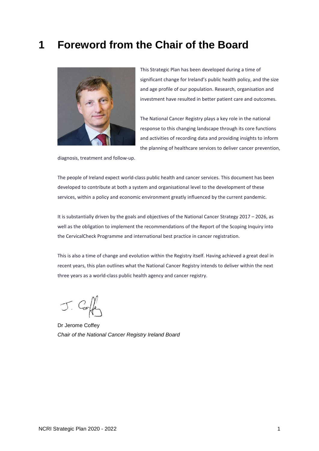## <span id="page-2-0"></span>**1 Foreword from the Chair of the Board**



This Strategic Plan has been developed during a time of significant change for Ireland's public health policy, and the size and age profile of our population. Research, organisation and investment have resulted in better patient care and outcomes.

The National Cancer Registry plays a key role in the national response to this changing landscape through its core functions and activities of recording data and providing insights to inform the planning of healthcare services to deliver cancer prevention,

diagnosis, treatment and follow-up.

The people of Ireland expect world-class public health and cancer services. This document has been developed to contribute at both a system and organisational level to the development of these services, within a policy and economic environment greatly influenced by the current pandemic.

It is substantially driven by the goals and objectives of the National Cancer Strategy 2017 – 2026, as well as the obligation to implement the recommendations of the Report of the Scoping Inquiry into the CervicalCheck Programme and international best practice in cancer registration.

This is also a time of change and evolution within the Registry itself. Having achieved a great deal in recent years, this plan outlines what the National Cancer Registry intends to deliver within the next three years as a world-class public health agency and cancer registry.

J. Coffe

Dr Jerome Coffey *Chair of the National Cancer Registry Ireland Board*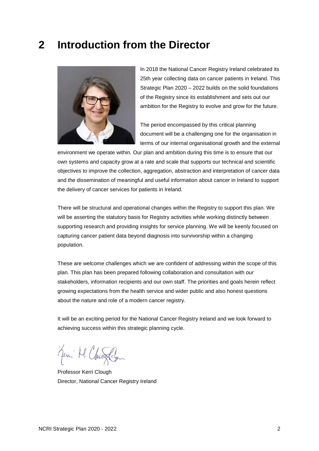## <span id="page-3-0"></span>**2 Introduction from the Director**



In 2018 the National Cancer Registry Ireland celebrated its 25th year collecting data on cancer patients in Ireland. This Strategic Plan 2020 – 2022 builds on the solid foundations of the Registry since its establishment and sets out our ambition for the Registry to evolve and grow for the future.

The period encompassed by this critical planning document will be a challenging one for the organisation in terms of our internal organisational growth and the external

environment we operate within. Our plan and ambition during this time is to ensure that our own systems and capacity grow at a rate and scale that supports our technical and scientific objectives to improve the collection, aggregation, abstraction and interpretation of cancer data and the dissemination of meaningful and useful information about cancer in Ireland to support the delivery of cancer services for patients in Ireland.

There will be structural and operational changes within the Registry to support this plan. We will be asserting the statutory basis for Registry activities while working distinctly between supporting research and providing insights for service planning. We will be keenly focused on capturing cancer patient data beyond diagnosis into survivorship within a changing population.

These are welcome challenges which we are confident of addressing within the scope of this plan. This plan has been prepared following collaboration and consultation with our stakeholders, information recipients and our own staff. The priorities and goals herein reflect growing expectations from the health service and wider public and also honest questions about the nature and role of a modern cancer registry.

It will be an exciting period for the National Cancer Registry Ireland and we look forward to achieving success within this strategic planning cycle.

Jeni M. Clauses

Professor Kerri Clough Director, National Cancer Registry Ireland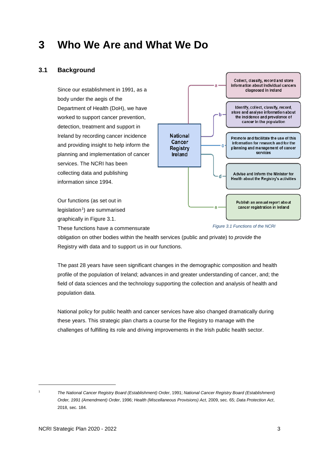## <span id="page-4-0"></span>**3 Who We Are and What We Do**

## <span id="page-4-1"></span>**3.1 Background**

Since our establishment in 1991, as a body under the aegis of the Department of Health (DoH), we have worked to support cancer prevention, detection, treatment and support in Ireland by recording cancer incidence and providing insight to help inform the planning and implementation of cancer services. The NCRI has been collecting data and publishing information since 1994.



These functions have a commensurate

Our functions (as set out in legislation<sup>[1](#page-4-2)</sup>) are summarised graphically in Figure 3.1.

*Figure 3.1 Functions of the NCRI*

obligation on other bodies within the health services (public and private) to *provide* the Registry with data and to support us in our functions.

The past 28 years have seen significant changes in the demographic composition and health profile of the population of Ireland; advances in and greater understanding of cancer, and; the field of data sciences and the technology supporting the collection and analysis of health and population data.

National policy for public health and cancer services have also changed dramatically during these years. This strategic plan charts a course for the Registry to manage with the challenges of fulfilling its role and driving improvements in the Irish public health sector.

-

<span id="page-4-2"></span><sup>1</sup> *The National Cancer Registry Board (Establishment) Order*, 1991; *National Cancer Registry Board (Establishment) Order, 1991 (Amendment) Order*, 1996; *Health (Miscellaneous Provisions) Act*, 2009, sec. 65; *Data Protection Act*, 2018, sec. 184.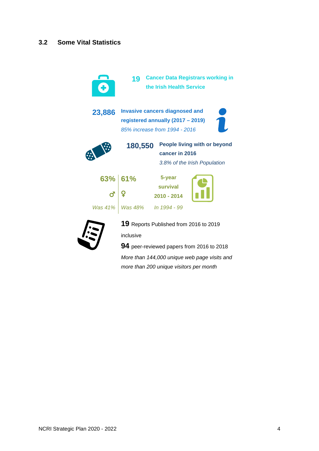<span id="page-5-0"></span>

inclusive

**94** peer-reviewed papers from 2016 to 2018

*More than 144,000 unique web page visits and more than 200 unique visitors per month*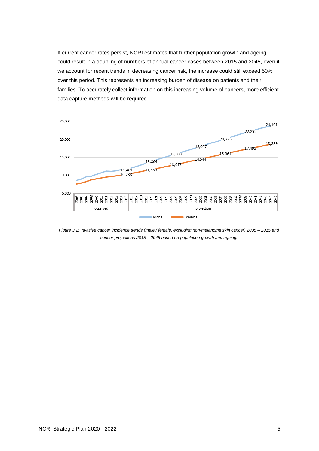If current cancer rates persist, NCRI estimates that further population growth and ageing could result in a doubling of numbers of annual cancer cases between 2015 and 2045, even if we account for recent trends in decreasing cancer risk, the increase could still exceed 50% over this period. This represents an increasing burden of disease on patients and their families. To accurately collect information on this increasing volume of cancers, more efficient data capture methods will be required.



*Figure 3.2: Invasive cancer incidence trends (male / female, excluding non-melanoma skin cancer) 2005 – 2015 and cancer projections 2015 – 2045 based on population growth and ageing.*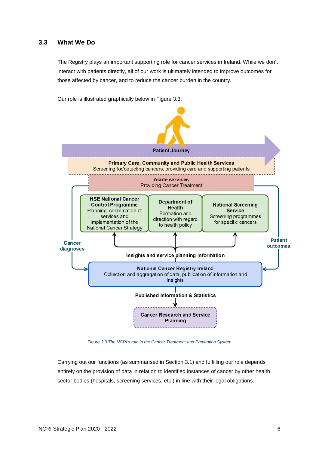### <span id="page-7-0"></span>**3.3 What We Do**

The Registry plays an important supporting role for cancer services in Ireland. While we don't interact with patients directly, all of our work is ultimately intended to improve outcomes for those affected by cancer, and to reduce the cancer burden in the country.

Our role is illustrated graphically below in Figure 3.3:



*Figure 3.3 The NCRI's role in the Cancer Treatment and Prevention System*

Carrying out our functions (as summarised in Section 3.1) and fulfilling our role depends entirely on the provision of data in relation to identified instances of cancer by other health sector bodies (hospitals, screening services, etc.) in line with their legal obligations.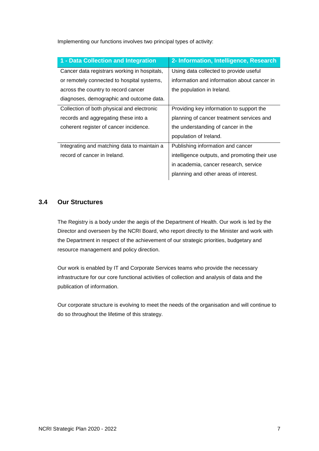| 1 - Data Collection and Integration          | 2- Information, Intelligence, Research        |
|----------------------------------------------|-----------------------------------------------|
| Cancer data registrars working in hospitals, | Using data collected to provide useful        |
| or remotely connected to hospital systems,   | information and information about cancer in   |
| across the country to record cancer          | the population in Ireland.                    |
| diagnoses, demographic and outcome data.     |                                               |
| Collection of both physical and electronic   | Providing key information to support the      |
| records and aggregating these into a         | planning of cancer treatment services and     |
| coherent register of cancer incidence.       | the understanding of cancer in the            |
|                                              | population of Ireland.                        |
| Integrating and matching data to maintain a  | Publishing information and cancer             |
| record of cancer in Ireland.                 | intelligence outputs, and promoting their use |
|                                              | in academia, cancer research, service         |
|                                              | planning and other areas of interest.         |

Implementing our functions involves two principal types of activity:

#### <span id="page-8-0"></span>**3.4 Our Structures**

The Registry is a body under the aegis of the Department of Health. Our work is led by the Director and overseen by the NCRI Board, who report directly to the Minister and work with the Department in respect of the achievement of our strategic priorities, budgetary and resource management and policy direction.

Our work is enabled by IT and Corporate Services teams who provide the necessary infrastructure for our core functional activities of collection and analysis of data and the publication of information.

Our corporate structure is evolving to meet the needs of the organisation and will continue to do so throughout the lifetime of this strategy.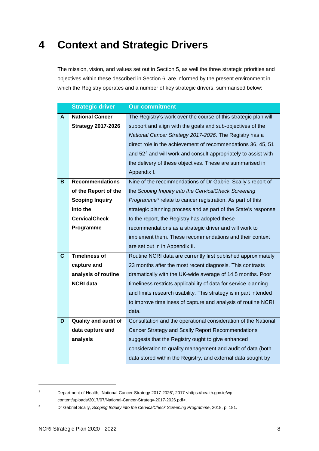# <span id="page-9-0"></span>**4 Context and Strategic Drivers**

The mission, vision, and values set out in Section 5, as well the three strategic priorities and objectives within these described in Section 6, are informed by the present environment in which the Registry operates and a number of key strategic drivers, summarised below:

|                         | <b>Strategic driver</b>     | <b>Our commitment</b>                                                      |
|-------------------------|-----------------------------|----------------------------------------------------------------------------|
| A                       | <b>National Cancer</b>      | The Registry's work over the course of this strategic plan will            |
|                         | <b>Strategy 2017-2026</b>   | support and align with the goals and sub-objectives of the                 |
|                         |                             | National Cancer Strategy 2017-2026. The Registry has a                     |
|                         |                             | direct role in the achievement of recommendations 36, 45, 51               |
|                         |                             | and 52 <sup>2</sup> and will work and consult appropriately to assist with |
|                         |                             | the delivery of these objectives. These are summarised in                  |
|                         |                             | Appendix I.                                                                |
| B                       | <b>Recommendations</b>      | Nine of the recommendations of Dr Gabriel Scally's report of               |
|                         | of the Report of the        | the Scoping Inquiry into the CervicalCheck Screening                       |
|                         | <b>Scoping Inquiry</b>      | Programme <sup>3</sup> relate to cancer registration. As part of this      |
|                         | into the                    | strategic planning process and as part of the State's response             |
|                         | <b>CervicalCheck</b>        | to the report, the Registry has adopted these                              |
|                         | Programme                   | recommendations as a strategic driver and will work to                     |
|                         |                             | implement them. These recommendations and their context                    |
|                         |                             | are set out in in Appendix II.                                             |
| $\overline{\mathbf{c}}$ | <b>Timeliness of</b>        | Routine NCRI data are currently first published approximately              |
|                         | capture and                 | 23 months after the most recent diagnosis. This contrasts                  |
|                         | analysis of routine         | dramatically with the UK-wide average of 14.5 months. Poor                 |
|                         | <b>NCRI data</b>            | timeliness restricts applicability of data for service planning            |
|                         |                             | and limits research usability. This strategy is in part intended           |
|                         |                             | to improve timeliness of capture and analysis of routine NCRI              |
|                         |                             | data.                                                                      |
| D                       | <b>Quality and audit of</b> | Consultation and the operational consideration of the National             |
|                         | data capture and            | Cancer Strategy and Scally Report Recommendations                          |
|                         | analysis                    | suggests that the Registry ought to give enhanced                          |
|                         |                             | consideration to quality management and audit of data (both                |
|                         |                             | data stored within the Registry, and external data sought by               |

-

<span id="page-9-1"></span><sup>2</sup> Department of Health, 'National-Cancer-Strategy-2017-2026', 2017 <https://health.gov.ie/wpcontent/uploads/2017/07/National-Cancer-Strategy-2017-2026.pdf>.

<span id="page-9-2"></span><sup>3</sup> Dr Gabriel Scally, *Scoping Inquiry into the CervicalCheck Screening Programme*, 2018, p. 181.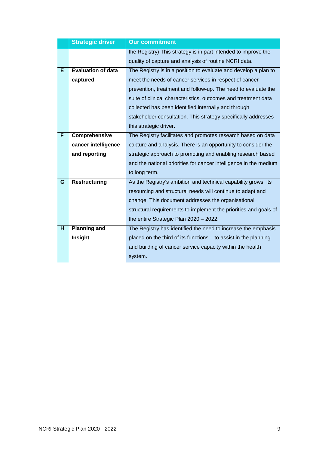|   | <b>Strategic driver</b>   | <b>Our commitment</b>                                             |
|---|---------------------------|-------------------------------------------------------------------|
|   |                           | the Registry) This strategy is in part intended to improve the    |
|   |                           | quality of capture and analysis of routine NCRI data.             |
| E | <b>Evaluation of data</b> | The Registry is in a position to evaluate and develop a plan to   |
|   | captured                  | meet the needs of cancer services in respect of cancer            |
|   |                           | prevention, treatment and follow-up. The need to evaluate the     |
|   |                           | suite of clinical characteristics, outcomes and treatment data    |
|   |                           | collected has been identified internally and through              |
|   |                           | stakeholder consultation. This strategy specifically addresses    |
|   |                           | this strategic driver.                                            |
| F | Comprehensive             | The Registry facilitates and promotes research based on data      |
|   | cancer intelligence       | capture and analysis. There is an opportunity to consider the     |
|   | and reporting             | strategic approach to promoting and enabling research based       |
|   |                           | and the national priorities for cancer intelligence in the medium |
|   |                           | to long term.                                                     |
| G | <b>Restructuring</b>      | As the Registry's ambition and technical capability grows, its    |
|   |                           | resourcing and structural needs will continue to adapt and        |
|   |                           | change. This document addresses the organisational                |
|   |                           | structural requirements to implement the priorities and goals of  |
|   |                           | the entire Strategic Plan 2020 - 2022.                            |
| H | <b>Planning and</b>       | The Registry has identified the need to increase the emphasis     |
|   | Insight                   | placed on the third of its functions - to assist in the planning  |
|   |                           | and building of cancer service capacity within the health         |
|   |                           | system.                                                           |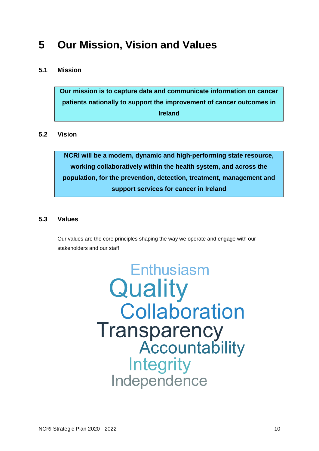# <span id="page-11-0"></span>**5 Our Mission, Vision and Values**

## <span id="page-11-1"></span>**5.1 Mission**

**Our mission is to capture data and communicate information on cancer patients nationally to support the improvement of cancer outcomes in Ireland**

## <span id="page-11-2"></span>**5.2 Vision**

**NCRI will be a modern, dynamic and high-performing state resource, working collaboratively within the health system, and across the population, for the prevention, detection, treatment, management and support services for cancer in Ireland**

## <span id="page-11-3"></span>**5.3 Values**

Our values are the core principles shaping the way we operate and engage with our stakeholders and our staff.

> Enthusiasm Quality **Collaboration** Transparency<br>Accountability **Integrity** Independence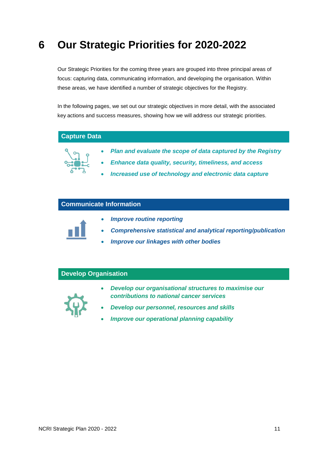## <span id="page-12-0"></span>**6 Our Strategic Priorities for 2020-2022**

Our Strategic Priorities for the coming three years are grouped into three principal areas of focus: capturing data, communicating information, and developing the organisation. Within these areas, we have identified a number of strategic objectives for the Registry.

In the following pages, we set out our strategic objectives in more detail, with the associated key actions and success measures, showing how we will address our strategic priorities.

### **Capture Data**



- *Plan and evaluate the scope of data captured by the Registry*
- *Enhance data quality, security, timeliness, and access*
- *Increased use of technology and electronic data capture*

#### **Communicate Information**



- *Improve routine reporting*
- *Comprehensive statistical and analytical reporting/publication*
- *Improve our linkages with other bodies*

## **Develop Organisation**



- *Develop our organisational structures to maximise our contributions to national cancer services*
- *Develop our personnel, resources and skills*
- *Improve our operational planning capability*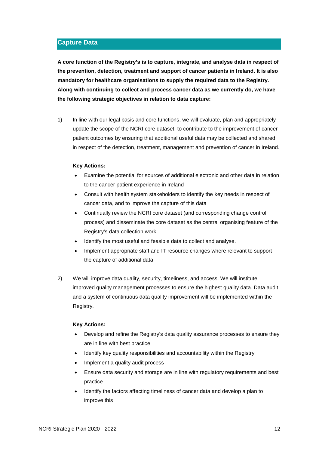#### <span id="page-13-0"></span>**Capture Data**

**A core function of the Registry's is to capture, integrate, and analyse data in respect of the prevention, detection, treatment and support of cancer patients in Ireland. It is also mandatory for healthcare organisations to supply the required data to the Registry. Along with continuing to collect and process cancer data as we currently do, we have the following strategic objectives in relation to data capture:**

1) In line with our legal basis and core functions, we will evaluate, plan and appropriately update the scope of the NCRI core dataset, to contribute to the improvement of cancer patient outcomes by ensuring that additional useful data may be collected and shared in respect of the detection, treatment, management and prevention of cancer in Ireland.

#### **Key Actions:**

- Examine the potential for sources of additional electronic and other data in relation to the cancer patient experience in Ireland
- Consult with health system stakeholders to identify the key needs in respect of cancer data, and to improve the capture of this data
- Continually review the NCRI core dataset (and corresponding change control process) and disseminate the core dataset as the central organising feature of the Registry's data collection work
- Identify the most useful and feasible data to collect and analyse.
- Implement appropriate staff and IT resource changes where relevant to support the capture of additional data
- 2) We will improve data quality, security, timeliness, and access. We will institute improved quality management processes to ensure the highest quality data. Data audit and a system of continuous data quality improvement will be implemented within the Registry.

#### **Key Actions:**

- Develop and refine the Registry's data quality assurance processes to ensure they are in line with best practice
- Identify key quality responsibilities and accountability within the Registry
- Implement a quality audit process
- Ensure data security and storage are in line with regulatory requirements and best practice
- Identify the factors affecting timeliness of cancer data and develop a plan to improve this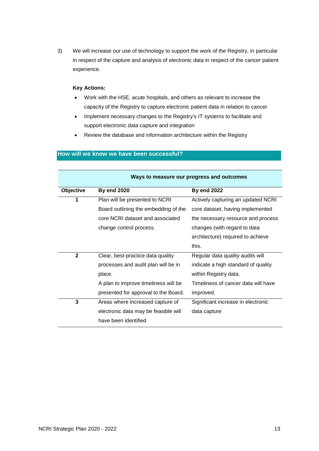3) We will increase our use of technology to support the work of the Registry, in particular in respect of the capture and analysis of electronic data in respect of the cancer patient experience.

#### **Key Actions:**

- Work with the HSE, acute hospitals, and others as relevant to increase the capacity of the Registry to capture electronic patient data in relation to cancer
- Implement necessary changes to the Registry's IT systems to facilitate and support electronic data capture and integration
- Review the database and information architecture within the Registry

| Ways to measure our progress and outcomes |                                      |                                     |
|-------------------------------------------|--------------------------------------|-------------------------------------|
| Objective                                 | <b>By end 2020</b>                   | <b>By end 2022</b>                  |
| 1                                         | Plan will be presented to NCRI       | Actively capturing an updated NCRI  |
|                                           | Board outlining the embedding of the | core dataset, having implemented    |
|                                           | core NCRI dataset and associated     | the necessary resource and process  |
|                                           | change control process.              | changes (with regard to data        |
|                                           |                                      | architecture) required to achieve   |
|                                           |                                      | this.                               |
| $\mathbf{2}$                              | Clear, best-practice data quality    | Regular data quality audits will    |
|                                           | processes and audit plan will be in  | indicate a high standard of quality |
|                                           | place.                               | within Registry data.               |
|                                           | A plan to improve timeliness will be | Timeliness of cancer data will have |
|                                           | presented for approval to the Board. | improved.                           |
| 3                                         | Areas where increased capture of     | Significant increase in electronic  |
|                                           | electronic data may be feasible will | data capture                        |
|                                           | have been identified                 |                                     |

#### **How will we know we have been successful?**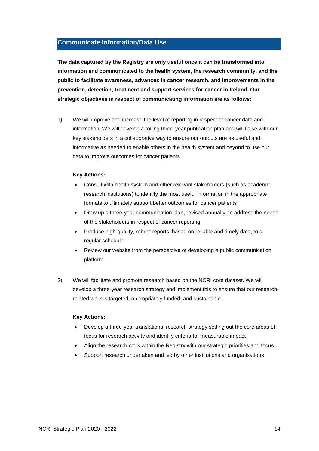#### <span id="page-15-0"></span>**Communicate Information/Data Use**

**The data captured by the Registry are only useful once it can be transformed into information and communicated to the health system, the research community, and the public to facilitate awareness, advances in cancer research, and improvements in the prevention, detection, treatment and support services for cancer in Ireland. Our strategic objectives in respect of communicating information are as follows:**

1) We will improve and increase the level of reporting in respect of cancer data and information. We will develop a rolling three-year publication plan and will liaise with our key stakeholders in a collaborative way to ensure our outputs are as useful and informative as needed to enable others in the health system and beyond to use our data to improve outcomes for cancer patients.

#### **Key Actions:**

- Consult with health system and other relevant stakeholders (such as academic research institutions) to identify the most useful information in the appropriate formats to ultimately support better outcomes for cancer patients
- Draw up a three-year communication plan, revised annually, to address the needs of the stakeholders in respect of cancer reporting
- Produce high-quality, robust reports, based on reliable and timely data, to a regular schedule
- Review our website from the perspective of developing a public communication platform.
- 2) We will facilitate and promote research based on the NCRI core dataset. We will develop a three-year research strategy and implement this to ensure that our researchrelated work is targeted, appropriately funded, and sustainable.

#### **Key Actions:**

- Develop a three-year translational research strategy setting out the core areas of focus for research activity and identify criteria for measurable impact
- Align the research work within the Registry with our strategic priorities and focus
- Support research undertaken and led by other institutions and organisations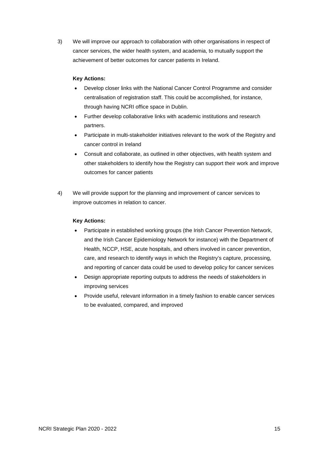3) We will improve our approach to collaboration with other organisations in respect of cancer services, the wider health system, and academia, to mutually support the achievement of better outcomes for cancer patients in Ireland.

#### **Key Actions:**

- Develop closer links with the National Cancer Control Programme and consider centralisation of registration staff. This could be accomplished, for instance, through having NCRI office space in Dublin.
- Further develop collaborative links with academic institutions and research partners.
- Participate in multi-stakeholder initiatives relevant to the work of the Registry and cancer control in Ireland
- Consult and collaborate, as outlined in other objectives, with health system and other stakeholders to identify how the Registry can support their work and improve outcomes for cancer patients
- 4) We will provide support for the planning and improvement of cancer services to improve outcomes in relation to cancer.

#### **Key Actions:**

- Participate in established working groups (the Irish Cancer Prevention Network, and the Irish Cancer Epidemiology Network for instance) with the Department of Health, NCCP, HSE, acute hospitals, and others involved in cancer prevention, care, and research to identify ways in which the Registry's capture, processing, and reporting of cancer data could be used to develop policy for cancer services
- Design appropriate reporting outputs to address the needs of stakeholders in improving services
- Provide useful, relevant information in a timely fashion to enable cancer services to be evaluated, compared, and improved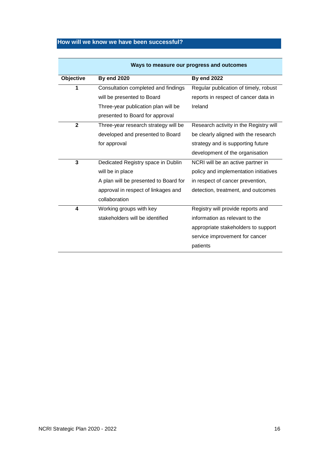## **How will we know we have been successful?**

|              | Ways to measure our progress and outcomes |                                        |  |
|--------------|-------------------------------------------|----------------------------------------|--|
| Objective    | <b>By end 2020</b>                        | <b>By end 2022</b>                     |  |
| 1            | Consultation completed and findings       | Regular publication of timely, robust  |  |
|              | will be presented to Board                | reports in respect of cancer data in   |  |
|              | Three-year publication plan will be       | Ireland                                |  |
|              | presented to Board for approval           |                                        |  |
| $\mathbf{2}$ | Three-year research strategy will be      | Research activity in the Registry will |  |
|              | developed and presented to Board          | be clearly aligned with the research   |  |
|              | for approval                              | strategy and is supporting future      |  |
|              |                                           | development of the organisation        |  |
| 3            | Dedicated Registry space in Dublin        | NCRI will be an active partner in      |  |
|              | will be in place                          | policy and implementation initiatives  |  |
|              | A plan will be presented to Board for     | in respect of cancer prevention,       |  |
|              | approval in respect of linkages and       | detection, treatment, and outcomes     |  |
|              | collaboration                             |                                        |  |
| 4            | Working groups with key                   | Registry will provide reports and      |  |
|              | stakeholders will be identified           | information as relevant to the         |  |
|              |                                           | appropriate stakeholders to support    |  |
|              |                                           | service improvement for cancer         |  |
|              |                                           | patients                               |  |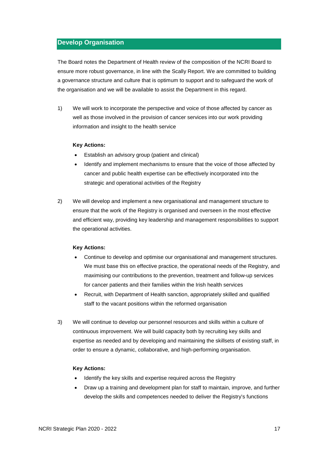#### <span id="page-18-0"></span>**Develop Organisation**

The Board notes the Department of Health review of the composition of the NCRI Board to ensure more robust governance, in line with the Scally Report. We are committed to building a governance structure and culture that is optimum to support and to safeguard the work of the organisation and we will be available to assist the Department in this regard.

1) We will work to incorporate the perspective and voice of those affected by cancer as well as those involved in the provision of cancer services into our work providing information and insight to the health service

#### **Key Actions:**

- Establish an advisory group (patient and clinical)
- Identify and implement mechanisms to ensure that the voice of those affected by cancer and public health expertise can be effectively incorporated into the strategic and operational activities of the Registry
- 2) We will develop and implement a new organisational and management structure to ensure that the work of the Registry is organised and overseen in the most effective and efficient way, providing key leadership and management responsibilities to support the operational activities.

#### **Key Actions:**

- Continue to develop and optimise our organisational and management structures. We must base this on effective practice, the operational needs of the Registry, and maximising our contributions to the prevention, treatment and follow-up services for cancer patients and their families within the Irish health services
- Recruit, with Department of Health sanction, appropriately skilled and qualified staff to the vacant positions within the reformed organisation
- 3) We will continue to develop our personnel resources and skills within a culture of continuous improvement. We will build capacity both by recruiting key skills and expertise as needed and by developing and maintaining the skillsets of existing staff, in order to ensure a dynamic, collaborative, and high-performing organisation.

#### **Key Actions:**

- Identify the key skills and expertise required across the Registry
- Draw up a training and development plan for staff to maintain, improve, and further develop the skills and competences needed to deliver the Registry's functions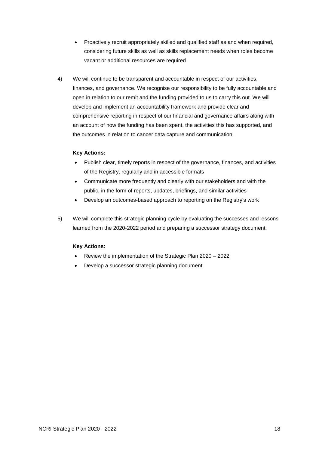- Proactively recruit appropriately skilled and qualified staff as and when required, considering future skills as well as skills replacement needs when roles become vacant or additional resources are required
- 4) We will continue to be transparent and accountable in respect of our activities, finances, and governance. We recognise our responsibility to be fully accountable and open in relation to our remit and the funding provided to us to carry this out. We will develop and implement an accountability framework and provide clear and comprehensive reporting in respect of our financial and governance affairs along with an account of how the funding has been spent, the activities this has supported, and the outcomes in relation to cancer data capture and communication.

#### **Key Actions:**

- Publish clear, timely reports in respect of the governance, finances, and activities of the Registry, regularly and in accessible formats
- Communicate more frequently and clearly with our stakeholders and with the public, in the form of reports, updates, briefings, and similar activities
- Develop an outcomes-based approach to reporting on the Registry's work
- 5) We will complete this strategic planning cycle by evaluating the successes and lessons learned from the 2020-2022 period and preparing a successor strategy document.

#### **Key Actions:**

- Review the implementation of the Strategic Plan 2020 2022
- Develop a successor strategic planning document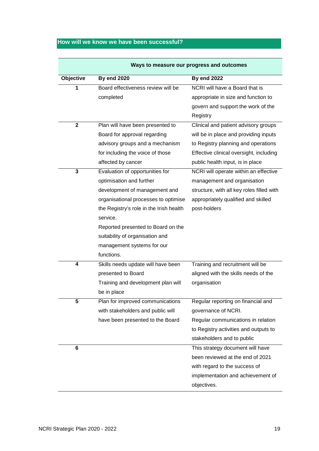## **How will we know we have been successful?**

| Ways to measure our progress and outcomes |                                         |                                           |
|-------------------------------------------|-----------------------------------------|-------------------------------------------|
| Objective                                 | <b>By end 2020</b>                      | <b>By end 2022</b>                        |
| 1                                         | Board effectiveness review will be      | NCRI will have a Board that is            |
|                                           | completed                               | appropriate in size and function to       |
|                                           |                                         | govern and support the work of the        |
|                                           |                                         | Registry                                  |
| $\mathbf{2}$                              | Plan will have been presented to        | Clinical and patient advisory groups      |
|                                           | Board for approval regarding            | will be in place and providing inputs     |
|                                           | advisory groups and a mechanism         | to Registry planning and operations       |
|                                           | for including the voice of those        | Effective clinical oversight, including   |
|                                           | affected by cancer                      | public health input, is in place          |
| 3                                         | Evaluation of opportunities for         | NCRI will operate within an effective     |
|                                           | optimisation and further                | management and organisation               |
|                                           | development of management and           | structure, with all key roles filled with |
|                                           | organisational processes to optimise    | appropriately qualified and skilled       |
|                                           | the Registry's role in the Irish health | post-holders                              |
|                                           | service.                                |                                           |
|                                           | Reported presented to Board on the      |                                           |
|                                           | suitability of organisation and         |                                           |
|                                           | management systems for our              |                                           |
|                                           | functions.                              |                                           |
| $\boldsymbol{4}$                          | Skills needs update will have been      | Training and recruitment will be          |
|                                           | presented to Board                      | aligned with the skills needs of the      |
|                                           | Training and development plan will      | organisation                              |
|                                           | be in place                             |                                           |
| 5                                         | Plan for improved communications        | Regular reporting on financial and        |
|                                           | with stakeholders and public will       | governance of NCRI.                       |
|                                           | have been presented to the Board        | Regular communications in relation        |
|                                           |                                         | to Registry activities and outputs to     |
|                                           |                                         | stakeholders and to public                |
| 6                                         |                                         | This strategy document will have          |
|                                           |                                         | been reviewed at the end of 2021          |
|                                           |                                         | with regard to the success of             |
|                                           |                                         | implementation and achievement of         |
|                                           |                                         | objectives.                               |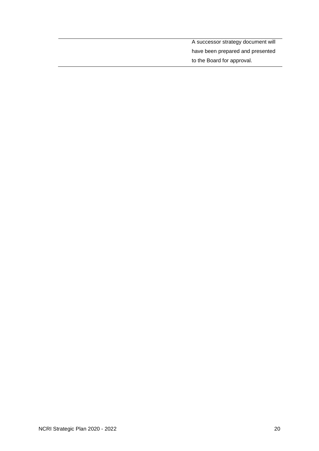A successor strategy document will have been prepared and presented to the Board for approval.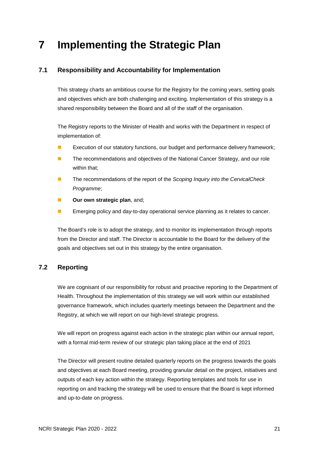## <span id="page-22-0"></span>**7 Implementing the Strategic Plan**

## <span id="page-22-1"></span>**7.1 Responsibility and Accountability for Implementation**

This strategy charts an ambitious course for the Registry for the coming years, setting goals and objectives which are both challenging and exciting. Implementation of this strategy is a shared responsibility between the Board and all of the staff of the organisation.

The Registry reports to the Minister of Health and works with the Department in respect of implementation of:

- Execution of our statutory functions, our budget and performance delivery framework;
- The recommendations and objectives of the National Cancer Strategy, and our role within that;
- The recommendations of the report of the *Scoping Inquiry into the CervicalCheck Programme*;
- **Our own strategic plan**, and;
- **EXECUTE:** Emerging policy and day-to-day operational service planning as it relates to cancer.

The Board's role is to adopt the strategy, and to monitor its implementation through reports from the Director and staff. The Director is accountable to the Board for the delivery of the goals and objectives set out in this strategy by the entire organisation.

## <span id="page-22-2"></span>**7.2 Reporting**

We are cognisant of our responsibility for robust and proactive reporting to the Department of Health. Throughout the implementation of this strategy we will work within our established governance framework, which includes quarterly meetings between the Department and the Registry, at which we will report on our high-level strategic progress.

We will report on progress against each action in the strategic plan within our annual report, with a formal mid-term review of our strategic plan taking place at the end of 2021

The Director will present routine detailed quarterly reports on the progress towards the goals and objectives at each Board meeting, providing granular detail on the project, initiatives and outputs of each key action within the strategy. Reporting templates and tools for use in reporting on and tracking the strategy will be used to ensure that the Board is kept informed and up-to-date on progress.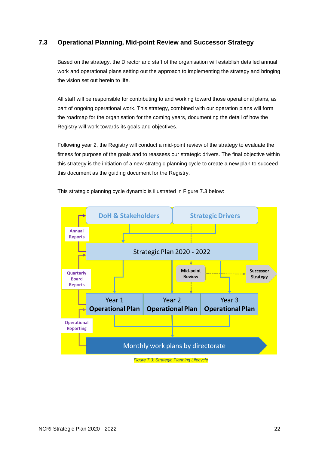## <span id="page-23-0"></span>**7.3 Operational Planning, Mid-point Review and Successor Strategy**

Based on the strategy, the Director and staff of the organisation will establish detailed annual work and operational plans setting out the approach to implementing the strategy and bringing the vision set out herein to life.

All staff will be responsible for contributing to and working toward those operational plans, as part of ongoing operational work. This strategy, combined with our operation plans will form the roadmap for the organisation for the coming years, documenting the detail of how the Registry will work towards its goals and objectives.

Following year 2, the Registry will conduct a mid-point review of the strategy to evaluate the fitness for purpose of the goals and to reassess our strategic drivers. The final objective within this strategy is the initiation of a new strategic planning cycle to create a new plan to succeed this document as the guiding document for the Registry.



This strategic planning cycle dynamic is illustrated in Figure 7.3 below: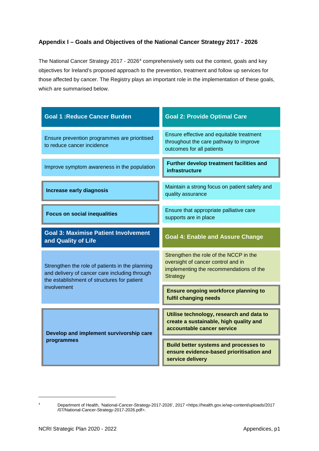## **Appendix I – Goals and Objectives of the National Cancer Strategy 2017 - 2026**

The National Cancer Strategy 2017 - 2026<sup>[4](#page-24-0)</sup> comprehensively sets out the context, goals and key objectives for Ireland's proposed approach to the prevention, treatment and follow up services for those affected by cancer. The Registry plays an important role in the implementation of these goals, which are summarised below.

| <b>Goal 1: Reduce Cancer Burden</b>                                                                                                             | <b>Goal 2: Provide Optimal Care</b>                                                                                                        |
|-------------------------------------------------------------------------------------------------------------------------------------------------|--------------------------------------------------------------------------------------------------------------------------------------------|
| Ensure prevention programmes are prioritised<br>to reduce cancer incidence                                                                      | Ensure effective and equitable treatment<br>throughout the care pathway to improve<br>outcomes for all patients                            |
| Improve symptom awareness in the population                                                                                                     | Further develop treatment facilities and<br>infrastructure                                                                                 |
| <b>Increase early diagnosis</b>                                                                                                                 | Maintain a strong focus on patient safety and<br>quality assurance                                                                         |
| <b>Focus on social inequalities</b>                                                                                                             | Ensure that appropriate palliative care<br>supports are in place                                                                           |
| <b>Goal 3: Maximise Patient Involvement</b><br>and Quality of Life                                                                              | <b>Goal 4: Enable and Assure Change</b>                                                                                                    |
| Strengthen the role of patients in the planning<br>and delivery of cancer care including through<br>the establishment of structures for patient | Strengthen the role of the NCCP in the<br>oversight of cancer control and in<br>implementing the recommendations of the<br><b>Strategy</b> |
| involvement                                                                                                                                     | <b>Ensure ongoing workforce planning to</b><br>fulfil changing needs                                                                       |
| Develop and implement survivorship care                                                                                                         | Utilise technology, research and data to<br>create a sustainable, high quality and<br>accountable cancer service                           |
| programmes                                                                                                                                      | <b>Build better systems and processes to</b><br>ensure evidence-based prioritisation and<br>service delivery                               |

-

<span id="page-24-0"></span><sup>4</sup> Department of Health, 'National-Cancer-Strategy-2017-2026', 2017 <https://health.gov.ie/wp-content/uploads/2017 /07/National-Cancer-Strategy-2017-2026.pdf>.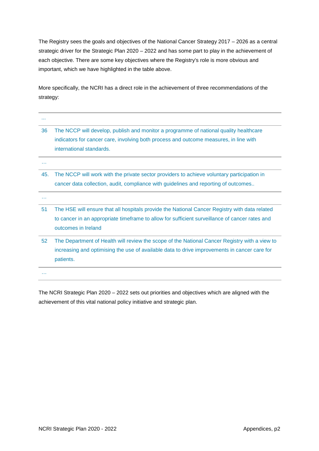The Registry sees the goals and objectives of the National Cancer Strategy 2017 – 2026 as a central strategic driver for the Strategic Plan 2020 – 2022 and has some part to play in the achievement of each objective. There are some key objectives where the Registry's role is more obvious and important, which we have highlighted in the table above.

More specifically, the NCRI has a direct role in the achievement of three recommendations of the strategy:

| $\cdots$ |                                                                                                                                                                                                            |
|----------|------------------------------------------------------------------------------------------------------------------------------------------------------------------------------------------------------------|
| 36       | The NCCP will develop, publish and monitor a programme of national quality healthcare<br>indicators for cancer care, involving both process and outcome measures, in line with<br>international standards. |
|          |                                                                                                                                                                                                            |
| 45.      | The NCCP will work with the private sector providers to achieve voluntary participation in                                                                                                                 |
|          | cancer data collection, audit, compliance with guidelines and reporting of outcomes                                                                                                                        |
|          |                                                                                                                                                                                                            |
| 51       | The HSE will ensure that all hospitals provide the National Cancer Registry with data related                                                                                                              |
|          | to cancer in an appropriate timeframe to allow for sufficient surveillance of cancer rates and                                                                                                             |
|          | outcomes in Ireland                                                                                                                                                                                        |
| 52       | The Department of Health will review the scope of the National Cancer Registry with a view to                                                                                                              |
|          | increasing and optimising the use of available data to drive improvements in cancer care for                                                                                                               |
|          | patients.                                                                                                                                                                                                  |
| <b>.</b> |                                                                                                                                                                                                            |

The NCRI Strategic Plan 2020 – 2022 sets out priorities and objectives which are aligned with the achievement of this vital national policy initiative and strategic plan.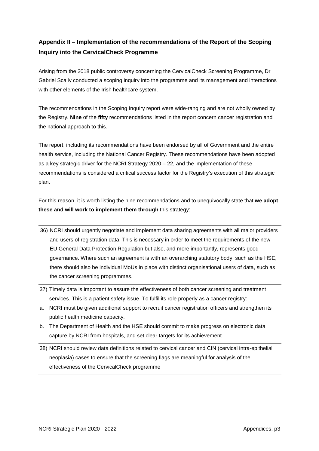## **Appendix II – Implementation of the recommendations of the Report of the Scoping Inquiry into the CervicalCheck Programme**

Arising from the 2018 public controversy concerning the CervicalCheck Screening Programme, Dr Gabriel Scally conducted a scoping inquiry into the programme and its management and interactions with other elements of the Irish healthcare system.

The recommendations in the Scoping Inquiry report were wide-ranging and are not wholly owned by the Registry. **Nine** of the **fifty** recommendations listed in the report concern cancer registration and the national approach to this.

The report, including its recommendations have been endorsed by all of Government and the entire health service, including the National Cancer Registry. These recommendations have been adopted as a key strategic driver for the NCRI Strategy 2020 – 22, and the implementation of these recommendations is considered a critical success factor for the Registry's execution of this strategic plan.

For this reason, it is worth listing the nine recommendations and to unequivocally state that **we adopt these and will work to implement them through** this strategy:

- 36) NCRI should urgently negotiate and implement data sharing agreements with all major providers and users of registration data. This is necessary in order to meet the requirements of the new EU General Data Protection Regulation but also, and more importantly, represents good governance. Where such an agreement is with an overarching statutory body, such as the HSE, there should also be individual MoUs in place with distinct organisational users of data, such as the cancer screening programmes.
- 37) Timely data is important to assure the effectiveness of both cancer screening and treatment services. This is a patient safety issue. To fulfil its role properly as a cancer registry:
- a. NCRI must be given additional support to recruit cancer registration officers and strengthen its public health medicine capacity.
- b. The Department of Health and the HSE should commit to make progress on electronic data capture by NCRI from hospitals, and set clear targets for its achievement.
- 38) NCRI should review data definitions related to cervical cancer and CIN (cervical intra-epithelial neoplasia) cases to ensure that the screening flags are meaningful for analysis of the effectiveness of the CervicalCheck programme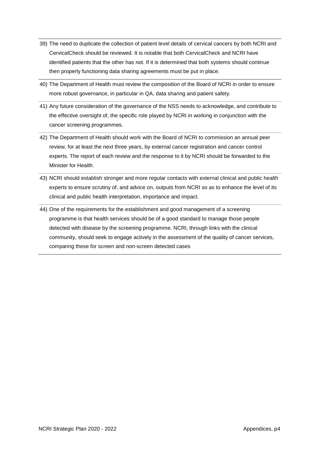- 39) The need to duplicate the collection of patient level details of cervical cancers by both NCRI and CervicalCheck should be reviewed. It is notable that both CervicalCheck and NCRI have identified patients that the other has not. If it is determined that both systems should continue then properly functioning data sharing agreements must be put in place.
- 40) The Department of Health must review the composition of the Board of NCRI in order to ensure more robust governance, in particular in QA, data sharing and patient safety.
- 41) Any future consideration of the governance of the NSS needs to acknowledge, and contribute to the effective oversight of, the specific role played by NCRI in working in conjunction with the cancer screening programmes.
- 42) The Department of Health should work with the Board of NCRI to commission an annual peer review, for at least the next three years, by external cancer registration and cancer control experts. The report of each review and the response to it by NCRI should be forwarded to the Minister for Health.
- 43) NCRI should establish stronger and more regular contacts with external clinical and public health experts to ensure scrutiny of, and advice on, outputs from NCRI so as to enhance the level of its clinical and public health interpretation, importance and impact.
- 44) One of the requirements for the establishment and good management of a screening programme is that health services should be of a good standard to manage those people detected with disease by the screening programme. NCRI, through links with the clinical community, should seek to engage actively in the assessment of the quality of cancer services, comparing these for screen and non-screen detected cases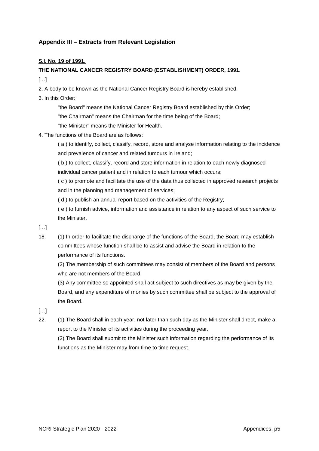## **Appendix III – Extracts from Relevant Legislation**

#### **S.I. No. 19 of 1991.**

#### **THE NATIONAL CANCER REGISTRY BOARD (ESTABLISHMENT) ORDER, 1991.**

 $[\ldots]$ 

2. A body to be known as the National Cancer Registry Board is hereby established.

3. In this Order:

"the Board" means the National Cancer Registry Board established by this Order;

"the Chairman" means the Chairman for the time being of the Board;

"the Minister" means the Minister for Health.

4. The functions of the Board are as follows:

( a ) to identify, collect, classify, record, store and analyse information relating to the incidence and prevalence of cancer and related tumours in Ireland;

( b ) to collect, classify, record and store information in relation to each newly diagnosed individual cancer patient and in relation to each tumour which occurs;

( c ) to promote and facilitate the use of the data thus collected in approved research projects and in the planning and management of services;

( d ) to publish an annual report based on the activities of the Registry;

( e ) to furnish advice, information and assistance in relation to any aspect of such service to the Minister.

 $[...]$ 

18. (1) In order to facilitate the discharge of the functions of the Board, the Board may establish committees whose function shall be to assist and advise the Board in relation to the performance of its functions.

(2) The membership of such committees may consist of members of the Board and persons who are not members of the Board.

(3) Any committee so appointed shall act subject to such directives as may be given by the Board, and any expenditure of monies by such committee shall be subject to the approval of the Board.

[…]

22. (1) The Board shall in each year, not later than such day as the Minister shall direct, make a report to the Minister of its activities during the proceeding year.

(2) The Board shall submit to the Minister such information regarding the performance of its functions as the Minister may from time to time request.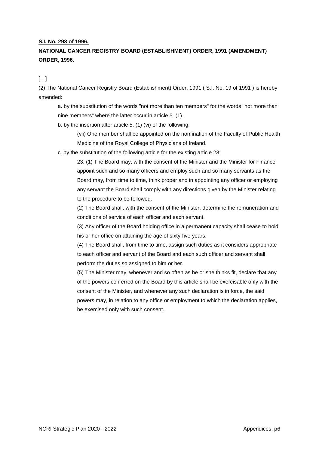#### **S.I. No. 293 of 1996.**

## **NATIONAL CANCER REGISTRY BOARD (ESTABLISHMENT) ORDER, 1991 (AMENDMENT) ORDER, 1996.**

 $\lbrack$ ...

(2) The National Cancer Registry Board (Establishment) Order. 1991 ( S.I. No. 19 of 1991 ) is hereby amended:

a. by the substitution of the words "not more than ten members" for the words "not more than nine members" where the latter occur in article 5. (1).

b. by the insertion after article 5. (1) (vi) of the following:

(vii) One member shall be appointed on the nomination of the Faculty of Public Health Medicine of the Royal College of Physicians of Ireland.

c. by the substitution of the following article for the existing article 23:

23. (1) The Board may, with the consent of the Minister and the Minister for Finance, appoint such and so many officers and employ such and so many servants as the Board may, from time to time, think proper and in appointing any officer or employing any servant the Board shall comply with any directions given by the Minister relating to the procedure to be followed.

(2) The Board shall, with the consent of the Minister, determine the remuneration and conditions of service of each officer and each servant.

(3) Any officer of the Board holding office in a permanent capacity shall cease to hold his or her office on attaining the age of sixty-five years.

(4) The Board shall, from time to time, assign such duties as it considers appropriate to each officer and servant of the Board and each such officer and servant shall perform the duties so assigned to him or her.

(5) The Minister may, whenever and so often as he or she thinks fit, declare that any of the powers conferred on the Board by this article shall be exercisable only with the consent of the Minister, and whenever any such declaration is in force, the said powers may, in relation to any office or employment to which the declaration applies, be exercised only with such consent.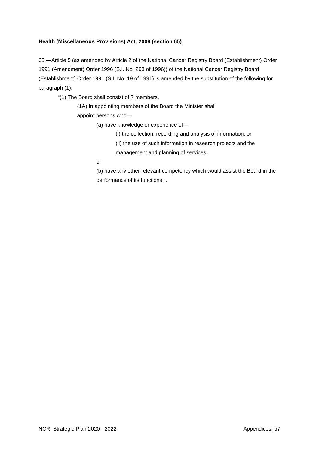#### **Health (Miscellaneous Provisions) Act, 2009 (section 65)**

65.—Article 5 (as amended by Article 2 of the National Cancer Registry Board (Establishment) Order 1991 (Amendment) Order 1996 (S.I. No. 293 of 1996)) of the National Cancer Registry Board (Establishment) Order 1991 (S.I. No. 19 of 1991) is amended by the substitution of the following for paragraph (1):

"(1) The Board shall consist of 7 members.

(1A) In appointing members of the Board the Minister shall

appoint persons who—

(a) have knowledge or experience of—

(i) the collection, recording and analysis of information, or

(ii) the use of such information in research projects and the

management and planning of services,

or

(b) have any other relevant competency which would assist the Board in the performance of its functions.".